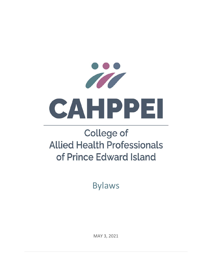

# **College of Allied Health Professionals** of Prince Edward Island

Bylaws

MAY 3, 2021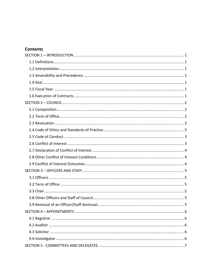# **Contents**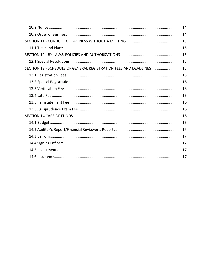| SECTION 13 - SCHEDULE OF GENERAL REGISTRATION FEES AND DEADLINES 15 |  |
|---------------------------------------------------------------------|--|
|                                                                     |  |
|                                                                     |  |
|                                                                     |  |
|                                                                     |  |
|                                                                     |  |
|                                                                     |  |
|                                                                     |  |
|                                                                     |  |
|                                                                     |  |
|                                                                     |  |
|                                                                     |  |
|                                                                     |  |
|                                                                     |  |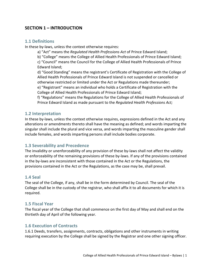## **SECTION 1 – INTRODUCTION**

#### **1.1 Definitions**

In these by-laws, unless the context otherwise requires:

a) "Act" means the *Regulated Health Professions Act* of Prince Edward Island;

b) "College" means the College of Allied Health Professionals of Prince Edward Island; c) "Council" means the Council for the College of Allied Health Professionals of Prince

Edward Island;

d) "Good Standing" means the registrant's Certificate of Registration with the College of Allied Health Professionals of Prince Edward Island is not suspended or cancelled or otherwise restricted or limited under the Act or Regulations made thereunder;

e) "Registrant" means an individual who holds a Certificate of Registration with the College of Allied Health Professionals of Prince Edward Island;

f) "Regulations" means the Regulations for the College of Allied Health Professionals of Prince Edward Island as made pursuant to the *Regulated Health Professions Act;*

## **1.2 Interpretation**

In these by-laws, unless the context otherwise requires, expressions defined in the Act and any alterations or amendments thereto shall have the meaning as defined; and words imparting the singular shall include the plural and vice versa, and words imparting the masculine gender shall include females, and words imparting persons shall include bodies corporate.

## **1.3 Severability and Precedence**

The invalidity or unenforceability of any provision of these by-laws shall not affect the validity or enforceability of the remaining provisions of these by‐laws. If any of the provisions contained in the by‐laws are inconsistent with those contained in the Act or the Regulations, the provisions contained in the Act or the Regulations, as the case may be, shall prevail.

#### **1.4 Seal**

The seal of the College, if any, shall be in the form determined by Council. The seal of the College shall be in the custody of the registrar, who shall affix it to all documents for which it is required.

## **1.5 Fiscal Year**

The fiscal year of the College that shall commence on the first day of May and shall end on the thirtieth day of April of the following year.

## **1.6 Execution of Contracts**

1.6.1 Deeds, transfers, assignments, contracts, obligations and other instruments in writing requiring execution by the College shall be signed by the Registrar and one other signing officer.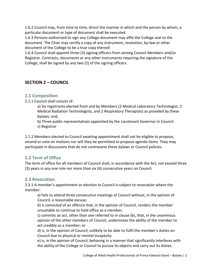1.6.2 Council may, from time to time, direct the manner in which and the person by whom, a particular document or type of document shall be executed.

1.6.3 Persons authorized to sign any College document may affix the College seal to the document. The Chair may certify a copy of any instrument, resolution, by‐law or other document of the College to be a true copy thereof.

1.6.4 Council shall appoint three (3) signing officers from among Council Members and/or Registrar. Contracts, documents or any other instruments requiring the signature of the College, shall be signed by any two (2) of the signing officers.

# **SECTION 2 – COUNCIL**

## **2.1 Composition**

2.1.1 Council shall consist of:

a) Six registrants elected from and by Members (2 Medical Laboratory Technologist, 2 Medical Radiation Technologists, and 2 Respiratory Therapists) as provided by these bylaws; and,

b) Three public representatives appointed by the Lieutenant Governor in Council. c) Registrar

2.1.2 Members elected to Council awaiting appointment shall not be eligible to propose, amend or vote on motions nor will they be permitted to propose agenda items. They may participate in discussions that do not contravene these bylaws or Council policies.

## **2.2 Term of Office**

The term of office for all members of Council shall, in accordance with the Act, not exceed three (3) years in any one role nor more than six (6) consecutive years on Council.

## **2.3 Revocation**

2.3.1 A member's appointment or election to Council is subject to revocation where the member:

 a) fails to attend three consecutive meetings of Council without, in the opinion of Council, a reasonable excuse;

 b) is convicted of an offence that, in the opinion of Council, renders the member unsuitable to continue to hold office as a member;

 c) commits an act, other than one referred to in clause (b), that, in the unanimous opinion of the other members of Council, undermines the ability of the member to act credibly as a member; or

 d) is, in the opinion of Council, unlikely to be able to fulfil the member's duties on Council due to physical or mental incapacity

e) is, in the opinion of Council, behaving in a manner that significantly interferes with the ability of the College or Council to pursue its objects and carry out its duties.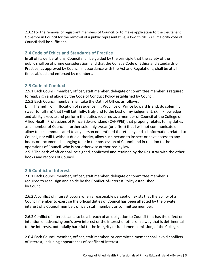2.3.2 For the removal of registrant members of Council, or to make application to the Lieutenant Governor in Council for the removal of a public representative, a two thirds (2/3) majority vote of Council shall be sufficient.

# **2.4 Code of Ethics and Standards of Practice**

In all of its deliberations, Council shall be guided by the principle that the safety of the public shall be of prime consideration; and that the College Code of Ethics and Standards of Practice, as approved by Council in accordance with the Act and Regulations, shall be at all times abided and enforced by members.

# **2.5 Code of Conduct**

2.5.1 Each Council member, officer, staff member, delegate or committee member is required to read, sign and abide by the Code of Conduct Policy established by Council. 2.5.2 Each Council member shall take the Oath of Office, as follows:

I, [name], of [location of residence], Province of Prince Edward Island, do solemnly swear (or affirm) that I will faithfully, truly and to the best of my judgement, skill, knowledge and ability execute and perform the duties required as a member of Council of the College of Allied Health Professions of Prince Edward Island (CAHPPEI) that properly relates to my duties as a member of Council. I further solemnly swear (or affirm) that I will not communicate or allow to be communicated to any person not entitled thereto any and all information related to Council, nor will I, without due authority, allow such person to inspect or have access to any books or documents belonging to or in the possession of Council and in relation to the operations of Council, who is not otherwise authorized by law.

2.5.3 The oath of office shall be signed, confirmed and retained by the Registrar with the other books and records of Council.

## **2.6 Conflict of Interest**

2.6.1 Each Council member, officer, staff member, delegate or committee member is required to read, sign and abide by the Conflict‐of‐Interest Policy established by Council.

2.6.2 A conflict of interest occurs when a reasonable perception exists that the ability of a Council member to exercise the official duties of Council has been affected by the private interest of a Council member, officer, staff member, or committee member.

2.6.3 Conflict of interest can also be a breach of an obligation to Council that has the effect or intention of advancing one's own interest or the interest of others in a way that is detrimental to the interests, potentially harmful to the integrity or fundamental mission, of the College.

2.6.4 Each Council member, officer, staff member, or committee member shall avoid conflicts of interest, including appearances of conflict of interest.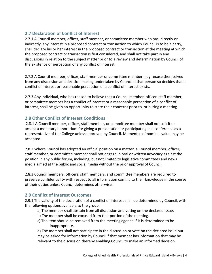# **2.7 Declaration of Conflict of Interest**

2.7.1 A Council member, officer, staff member, or committee member who has, directly or indirectly, any interest in a proposed contract or transaction to which Council is to be a party, shall declare his or her interest in the proposed contract or transaction at the meeting at which the proposed contract or transaction is first considered, and shall not take part in any discussions in relation to the subject matter prior to a review and determination by Council of the existence or perception of any conflict of interest.

2.7.2 A Council member, officer, staff member or committee member may recuse themselves from any discussion and decision making undertaken by Council if that person so decides that a conflict of interest or reasonable perception of a conflict of interest exists.

2.7.3 Any individual, who has reason to believe that a Council member, officer, staff member, or committee member has a conflict of interest or a reasonable perception of a conflict of interest, shall be given an opportunity to state their concerns prior to, or during a meeting.

## **2.8 Other Conflict of Interest Conditions**

2.8.1 A Council member, officer, staff member, or committee member shall not solicit or accept a monetary honorarium for giving a presentation or participating in a conference as a representative of the College unless approved by Council. Mementos of nominal value may be accepted.

2.8.2 Where Council has adopted an official position on a matter, a Council member, officer, staff member, or committee member shall not engage in oral or written advocacy against the position in any public forum, including, but not limited to legislative committees and news media aimed at the public and social media without the prior approval of Council.

2.8.3 Council members, officers, staff members, and committee members are required to preserve confidentiality with respect to all information coming to their knowledge in the course of their duties unless Council determines otherwise.

## **2.9 Conflict of Interest Outcomes**

2.9.1 The validity of the declaration of a conflict of interest shall be determined by Council, with the following options available to the group:

- a) The member shall abstain from all discussion and voting on the declared issue.
- b) The member shall be excused from that portion of the meeting.
- c) The item should be removed from the meeting agenda if it is determined to be inappropriate.

 d) The member shall not participate in the discussion or vote on the declared issue but may be asked for information by Council if that member has information that may be relevant to the discussion thereby enabling Council to make an informed decision.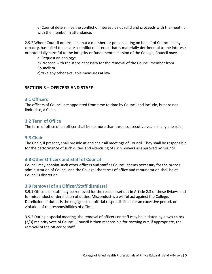e) Council determines the conflict of interest is not valid and proceeds with the meeting with the member in attendance.

2.9.2 Where Council determines that a member, or person acting on behalf of Council in any capacity, has failed to declare a conflict of interest that is materially detrimental to the interests or potentially harmful to the integrity or fundamental mission of the College, Council may:

a) Request an apology;

 b) Proceed with the steps necessary for the removal of the Council member from Council; or,

c) take any other available measures at law.

## **SECTION 3 – OFFICERS AND STAFF**

#### **3.1 Officers**

The officers of Council are appointed from time to time by Council and include, but are not limited to, a Chair.

## **3.2 Term of Office**

The term of office of an officer shall be no more than three consecutive years in any one role.

#### **3.3 Chair**

The Chair, if present, shall preside at and chair all meetings of Council. They shall be responsible for the performance of such duties and exercising of such powers as approved by Council.

## **3.8 Other Officers and Staff of Council**

Council may appoint such other officers and staff as Council deems necessary for the proper administration of Council and the College; the terms of office and remuneration shall be at Council's discretion.

## **3.9 Removal of an Officer/Staff dismissal**

3.9.1 Officers or staff may be removed for the reasons set out in Article 2.3 of these Bylaws and for misconduct or dereliction of duties. Misconduct is a willful act against the College. Dereliction of duties is the negligence of official responsibilities for an excessive period, or violation of the responsibilities of office.

3.9.2 During a special meeting, the removal of officers or staff may be initiated by a two-thirds (2/3) majority vote of Council. Council is then responsible for carrying out, if appropriate, the removal of the officer or staff.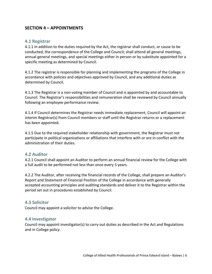## **SECTION 4 – APPOINTMENTS**

#### **4.1 Registrar**

4.1.1 In addition to the duties required by the Act, the registrar shall conduct, or cause to be conducted, the correspondence of the College and Council; shall attend all general meetings, annual general meetings, and special meetings either in person or by substitute appointed for a specific meeting as determined by Council.

4.1.2 The registrar is responsible for planning and implementing the programs of the College in accordance with policies and objectives approved by Council, and any additional duties as determined by Council.

4.1.3 The Registrar is a non‐voting member of Council and is appointed by and accountable to Council. The Registrar's responsibilities and remuneration shall be reviewed by Council annually following an employee performance review.

4.1.4 If Council determines the Registrar needs immediate replacement, Council will appoint an interim Registrar(s) from Council members or staff until the Registrar returns or a replacement has been appointed.

4.1.5 Due to the required stakeholder relationship with government, the Registrar must not participate in political organizations or affiliations that interfere with or are in conflict with the administration of their duties.

#### **4.2 Auditor**

4.2.1 Council shall appoint an Auditor to perform an annual financial review for the College with a full audit to be performed not less than once every 5 years.

4.2.2 The Auditor, after receiving the financial records of the College, shall prepare an Auditor's Report and Statement of Financial Position of the College in accordance with generally accepted accounting principles and auditing standards and deliver it to the Registrar within the period set out in procedures established by Council.

#### **4.3 Solicitor**

Council may appoint a solicitor to advise the College.

#### **4.4 Investigator**

Council may appoint investigator(s) to carry out duties as described in the Act and Regulations and in College policy.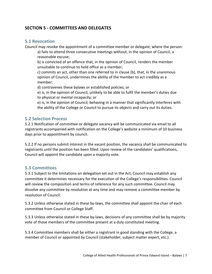# **SECTION 5 ‐ COMMITTEES AND DELEGATES**

## **5.1 Revocation**

Council may revoke the appointment of a committee member or delegate, where the person:

a) fails to attend three consecutive meetings without, in the opinion of Council, a reasonable excuse;

b) is convicted of an offence that, in the opinion of Council, renders the member unsuitable to continue to hold office as a member;

c) commits an act, other than one referred to in clause (b), that, in the unanimous opinion of Council, undermines the ability of the member to act credibly as a member;

d) contravenes these bylaws or established policies; or

e) is, in the opinion of Council, unlikely to be able to fulfil the member's duties due to physical or mental incapacity; or

e) is, in the opinion of Council, behaving in a manner that significantly interferes with the ability of the College or Council to pursue its objects and carry out its duties.

## **5.2 Selection Process**

5.2.1 Notification of committee or delegate vacancy will be communicated via email to all registrants accompanied with notification on the College's website a minimum of 10 business days prior to appointment by council.

5.2.2 If no persons submit interest in the vacant position, the vacancy shall be communicated to registrants until the position has been filled. Upon review of the candidates' qualifications, Council will appoint the candidate upon a majority vote.

## **5.3 Committees**

5.3.1 Subject to the limitations on delegation set out in the Act, Council may establish any committee it determines necessary for the execution of the College's responsibilities. Council will review the composition and terms of reference for any such committee. Council may dissolve any committee by resolution at any time and may remove a committee member by resolution of Council.

5.3.2 Unless otherwise stated in these by-laws, the committee shall appoint the chair of each committee from Council or College Staff.

5.3.3 Unless otherwise stated in these by-laws, decisions of any committee shall be by majority vote of those members of the committee present at a duly constituted meeting.

5.3.4 Committee members shall be either a registrant in good standing with the College, a member of Council or appointed by Council (stakeholder, subject matter expert, etc.).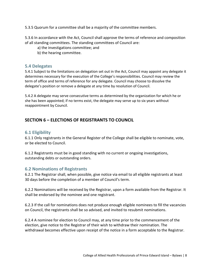5.3.5 Quorum for a committee shall be a majority of the committee members.

5.3.6 In accordance with the Act, Council shall approve the terms of reference and composition of all standing committees. The standing committees of Council are:

a) the investigations committee; and

b) the hearing committee.

## **5.4 Delegates**

5.4.1 Subject to the limitations on delegation set out in the Act, Council may appoint any delegate it determines necessary for the execution of the College's responsibilities. Council may review the term of office and terms of reference for any delegate. Council may choose to dissolve the delegate's position or remove a delegate at any time by resolution of Council.

5.4.2 A delegate may serve consecutive terms as determined by the organization for which he or she has been appointed; if no terms exist, the delegate may serve up to six years without reappointment by Council.

# **SECTION 6 – ELECTIONS OF REGISTRANTS TO COUNCIL**

## **6.1 Eligibility**

6.1.1 Only registrants in the General Register of the College shall be eligible to nominate, vote, or be elected to Council.

6.1.2 Registrants must be in good standing with no current or ongoing investigations, outstanding debts or outstanding orders.

## **6.2 Nominations of Registrants**

6.2.1 The Registrar shall, when possible, give notice via email to all eligible registrants at least 30 days before the completion of a member of Council's term.

6.2.2 Nominations will be received by the Registrar, upon a form available from the Registrar. It shall be endorsed by the nominee and one registrant.

6.2.3 If the call for nominations does not produce enough eligible nominees to fill the vacancies on Council, the registrants shall be so advised, and invited to resubmit nominations.

6.2.4 A nominee for election to Council may, at any time prior to the commencement of the election, give notice to the Registrar of their wish to withdraw their nomination. The withdrawal becomes effective upon receipt of the notice in a form acceptable to the Registrar.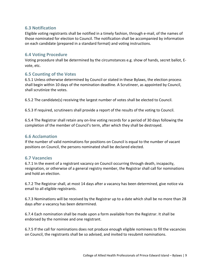## **6.3 Notification**

Eligible voting registrants shall be notified in a timely fashion, through e‐mail, of the names of those nominated for election to Council. The notification shall be accompanied by information on each candidate (prepared in a standard format) and voting instructions.

## **6.4 Voting Procedure**

Voting procedure shall be determined by the circumstances e.g. show of hands, secret ballot, E‐ vote, etc.

## **6.5 Counting of the Votes**

6.5.1 Unless otherwise determined by Council or stated in these Bylaws, the election process shall begin within 10 days of the nomination deadline. A Scrutineer, as appointed by Council, shall scrutinize the votes.

6.5.2 The candidate(s) receiving the largest number of votes shall be elected to Council.

6.5.3 If required, scrutineers shall provide a report of the results of the voting to Council.

6.5.4 The Registrar shall retain any on‐line voting records for a period of 30 days following the completion of the member of Council's term, after which they shall be destroyed.

#### **6.6 Acclamation**

If the number of valid nominations for positions on Council is equal to the number of vacant positions on Council, the persons nominated shall be declared elected.

#### **6.7 Vacancies**

6.7.1 In the event of a registrant vacancy on Council occurring through death, incapacity, resignation, or otherwise of a general registry member, the Registrar shall call for nominations and hold an election.

6.7.2 The Registrar shall, at most 14 days after a vacancy has been determined, give notice via email to all eligible registrants.

6.7.3 Nominations will be received by the Registrar up to a date which shall be no more than 28 days after a vacancy has been determined.

6.7.4 Each nomination shall be made upon a form available from the Registrar. It shall be endorsed by the nominee and one registrant.

6.7.5 If the call for nominations does not produce enough eligible nominees to fill the vacancies on Council, the registrants shall be so advised, and invited to resubmit nominations.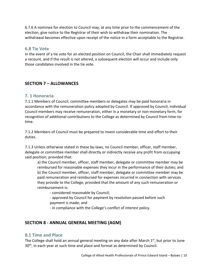6.7.6 A nominee for election to Council may, at any time prior to the commencement of the election, give notice to the Registrar of their wish to withdraw their nomination. The withdrawal becomes effective upon receipt of the notice in a form acceptable to the Registrar.

## **6.8 Tie Vote**

In the event of a tie vote for an elected position on Council, the Chair shall immediately request a recount, and if the result is not altered, a subsequent election will occur and include only those candidates involved in the tie vote.

## **SECTION 7 – ALLOWANCES**

#### **7. 1 Honoraria**

7.1.1 Members of Council, committee members or delegates may be paid honoraria in accordance with the remuneration policy adopted by Council. If approved by Council, individual Council members may receive remuneration, either in a monetary or non‐monetary form, for recognition of additional contributions to the College as determined by Council from time‐to‐ time.

7.1.2 Members of Council must be prepared to invest considerable time and effort to their duties.

7.1.3 Unless otherwise stated in these by-laws, no Council member, officer, staff member, delegate or committee member shall directly or indirectly receive any profit from occupying said position; provided that:

 a) the Council member, officer, staff member, delegate or committee member may be reimbursed for reasonable expenses they incur in the performance of their duties; and b) the Council member, officer, staff member, delegate or committee member may be paid remuneration and reimbursed for expenses incurred in connection with services they provide to the College, provided that the amount of any such remuneration or reimbursement is:

‐ considered reasonable by Council;

 ‐ approved by Council for payment by resolution passed before such payment is made; and

‐ in compliance with the College's conflict of interest policy.

## **SECTION 8 ‐ ANNUAL GENERAL MEETING (AGM)**

#### **8.1 Time and Place**

The College shall hold an annual general meeting on any date after March  $1<sup>st</sup>$ , but prior to June 30<sup>th</sup>, in each year at such time and place and format as determined by Council.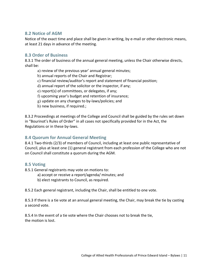## **8.2 Notice of AGM**

Notice of the exact time and place shall be given in writing, by e-mail or other electronic means, at least 21 days in advance of the meeting.

## **8.3 Order of Business**

8.3.1 The order of business of the annual general meeting, unless the Chair otherwise directs, shall be:

- a) review of the previous year' annual general minutes;
- b) annual reports of the Chair and Registrar;
- c) financial review/auditor's report and statement of financial position;
- d) annual report of the solicitor or the inspector, if any;
- e) report(s) of committees, or delegates, if any;
- f) upcoming year's budget and retention of insurance;
- g) update on any changes to by‐laws/policies; and
- h) new business, if required.;

8.3.2 Proceedings at meetings of the College and Council shall be guided by the rules set down in "Bourinot's Rules of Order" in all cases not specifically provided for in the Act, the Regulations or in these by‐laws.

## **8.4 Quorum for Annual General Meeting**

8.4.1 Two-thirds (2/3) of members of Council, including at least one public representative of Council, plus at least one (1) general registrant from each profession of the College who are not on Council shall constitute a quorum during the AGM.

## **8.5 Voting**

- 8.5.1 General registrants may vote on motions to:
	- a) accept or receive a report/agenda/ minutes; and
	- b) elect registrants to Council, as required.

8.5.2 Each general registrant, including the Chair, shall be entitled to one vote.

8.5.3 If there is a tie vote at an annual general meeting, the Chair, may break the tie by casting a second vote.

8.5.4 In the event of a tie vote where the Chair chooses not to break the tie, the motion is lost.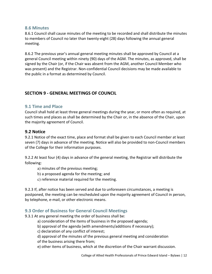## **8.6 Minutes**

8.6.1 Council shall cause minutes of the meeting to be recorded and shall distribute the minutes to members of Council no later than twenty‐eight (28) days following the annual general meeting.

8.6.2 The previous year's annual general meeting minutes shall be approved by Council at a general Council meeting within ninety (90) days of the AGM. The minutes, as approved, shall be signed by the Chair (or, if the Chair was absent from the AGM, another Council Member who was present) and the Registrar. Non-confidential Council decisions may be made available to the public in a format as determined by Council.

# **SECTION 9 ‐ GENERAL MEETINGS OF COUNCIL**

## **9.1 Time and Place**

Council shall hold at least three general meetings during the year, or more often as required, at such times and places as shall be determined by the Chair or, in the absence of the Chair, upon the majority agreement of Council.

## **9.2 Notice**

9.2.1 Notice of the exact time, place and format shall be given to each Council member at least seven (7) days in advance of the meeting. Notice will also be provided to non-Council members of the College for their information purposes.

9.2.2 At least four (4) days in advance of the general meeting, the Registrar will distribute the following:

- a) minutes of the previous meeting;
- b) a proposed agenda for the meeting; and
- c) reference material required for the meeting.

9.2.3 If, after notice has been served and due to unforeseen circumstances, a meeting is postponed, the meeting can be rescheduled upon the majority agreement of Council in person, by telephone, e‐mail, or other electronic means.

## **9.3 Order of Business for General Council Meetings**

9.3.1 At any general meeting the order of business shall be:

- a) consideration of the items of business in the proposed agenda;
- b) approval of the agenda (with amendments/additions if necessary);
- c) declaration of any conflict of interest;
- d) approval of the minutes of the previous general meeting and consideration
- of the business arising there from;
- e) other items of business, which at the discretion of the Chair warrant discussion.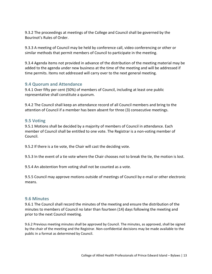9.3.2 The proceedings at meetings of the College and Council shall be governed by the Bourinot's Rules of Order.

9.3.3 A meeting of Council may be held by conference call, video conferencing or other or similar methods that permit members of Council to participate in the meeting.

9.3.4 Agenda items not provided in advance of the distribution of the meeting material may be added to the agenda under new business at the time of the meeting and will be addressed if time permits. Items not addressed will carry over to the next general meeting.

## **9.4 Quorum and Attendance**

9.4.1 Over fifty per cent (50%) of members of Council, including at least one public representative shall constitute a quorum.

9.4.2 The Council shall keep an attendance record of all Council members and bring to the attention of Council if a member has been absent for three (3) consecutive meetings.

## **9.5 Voting**

9.5.1 Motions shall be decided by a majority of members of Council in attendance. Each member of Council shall be entitled to one vote. The Registrar is a non‐voting member of Council.

9.5.2 If there is a tie vote, the Chair will cast the deciding vote.

9.5.3 In the event of a tie vote where the Chair chooses not to break the tie, the motion is lost.

9.5.4 An abstention from voting shall not be counted as a vote.

9.5.5 Council may approve motions outside of meetings of Council by e-mail or other electronic means.

#### **9.6 Minutes**

9.6.1 The Council shall record the minutes of the meeting and ensure the distribution of the minutes to members of Council no later than fourteen (14) days following the meeting and prior to the next Council meeting.

9.6.2 Previous meeting minutes shall be approved by Council. The minutes, as approved, shall be signed by the chair of the meeting and the Registrar. Non‐confidential decisions may be made available to the public in a format as determined by Council.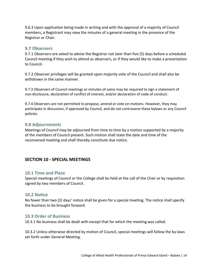9.6.3 Upon application being made in writing and with the approval of a majority of Council members, a Registrant may view the minutes of a general meeting in the presence of the Registrar or Chair.

#### **9.7 Observers**

9.7.1 Observers are asked to advise the Registrar not later than five (5) days before a scheduled Council meeting if they wish to attend as observers, or if they would like to make a presentation to Council.

9.7.2 Observer privileges will be granted upon majority vote of the Council and shall also be withdrawn in the same manner.

9.7.3 Observers of Council meetings or minutes of same may be required to sign a statement of non‐disclosure, declaration of conflict of interest, and/or declaration of code of conduct.

9.7.4 Observers are not permitted to propose, amend or vote on motions. However, they may participate in discussion, if approved by Council, and do not contravene these bylaws or any Council policies.

#### **9.8 Adjournments**

Meetings of Council may be adjourned from time to time by a motion supported by a majority of the members of Council present. Such motion shall state the date and time of the reconvened meeting and shall thereby constitute due notice.

## **SECTION 10 ‐ SPECIAL MEETINGS**

## **10.1 Time and Place**

Special meetings of Council or the College shall be held at the call of the Chair or by requisition signed by two members of Council.

#### **10.2 Notice**

No fewer than two (2) days' notice shall be given for a special meeting. The notice shall specify the business to be brought forward.

#### **10.3 Order of Business**

10.3.1 No business shall be dealt with except that for which the meeting was called.

10.3.2 Unless otherwise directed by motion of Council, special meetings will follow the by‐laws set forth under General Meeting.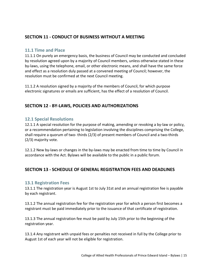# **SECTION 11 ‐ CONDUCT OF BUSINESS WITHOUT A MEETING**

#### **11.1 Time and Place**

11.1.1 On purely an emergency basis, the business of Council may be conducted and concluded by resolution agreed upon by a majority of Council members, unless otherwise stated in these by‐laws, using the telephone, email, or other electronic means, and shall have the same force and effect as a resolution duly passed at a convened meeting of Council; however, the resolution must be confirmed at the next Council meeting.

11.1.2 A resolution signed by a majority of the members of Council, for which purpose electronic signatures or emails are sufficient, has the effect of a resolution of Council.

## **SECTION 12 ‐ BY‐LAWS, POLICIES AND AUTHORIZATIONS**

## **12.1 Special Resolutions**

12.1.1 A special resolution for the purpose of making, amending or revoking a by-law or policy, or a recommendation pertaining to legislation involving the disciplines comprising the College, shall require a quorum of two- thirds (2/3) of present members of Council and a two-thirds (2/3) majority vote.

12.1.2 New by-laws or changes in the by-laws may be enacted from time to time by Council in accordance with the Act. Bylaws will be available to the public in a public forum.

## **SECTION 13 ‐ SCHEDULE OF GENERAL REGISTRATION FEES AND DEADLINES**

#### **13.1 Registration Fees**

13.1.1 The registration year is August 1st to July 31st and an annual registration fee is payable by each registrant.

13.1.2 The annual registration fee for the registration year for which a person first becomes a registrant must be paid immediately prior to the issuance of that certificate of registration.

13.1.3 The annual registration fee must be paid by July 15th prior to the beginning of the registration year.

13.1.4 Any registrant with unpaid fees or penalties not received in full by the College prior to August 1st of each year will not be eligible for registration.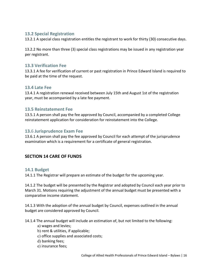## **13.2 Special Registration**

13.2.1 A special class registration entitles the registrant to work for thirty (30) consecutive days.

13.2.2 No more than three (3) special class registrations may be issued in any registration year per registrant.

## **13.3 Verification Fee**

13.3.1 A fee for verification of current or past registration in Prince Edward Island is required to be paid at the time of the request.

## **13.4 Late Fee**

13.4.1 A registration renewal received between July 15th and August 1st of the registration year, must be accompanied by a late fee payment.

## **13.5 Reinstatement Fee**

13.5.1 A person shall pay the fee approved by Council, accompanied by a completed College reinstatement application for consideration for reinstatement into the College.

## **13.**6 **Jurisprudence Exam Fee**

13.6.1 A person shall pay the fee approved by Council for each attempt of the jurisprudence examination which is a requirement for a certificate of general registration.

# **SECTION 14 CARE OF FUNDS**

## **14.1 Budget**

14.1.1 The Registrar will prepare an estimate of the budget for the upcoming year.

14.1.2 The budget will be presented by the Registrar and adopted by Council each year prior to March 31. Motions requiring the adjustment of the annual budget must be presented with a comparative income statement.

14.1.3 With the adoption of the annual budget by Council, expenses outlined in the annual budget are considered approved by Council.

14.1.4 The annual budget will include an estimation of, but not limited to the following:

- a) wages and levies;
- b) rent & utilities, if applicable;
- c) office supplies and associated costs;
- d) banking fees;
- e) insurance fees;